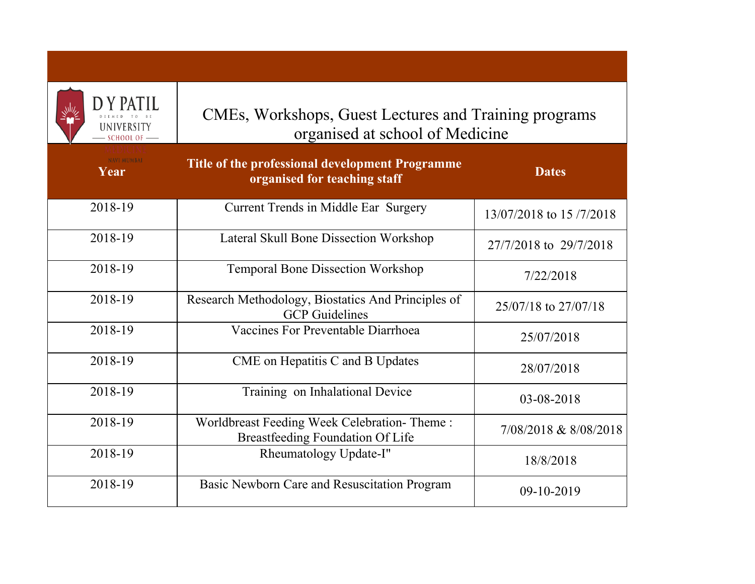| D Y PAT<br>UNIVERSITY<br>$-$ SCHOOL OF $-$ | CMEs, Workshops, Guest Lectures and Training programs<br>organised at school of Medicine |                         |
|--------------------------------------------|------------------------------------------------------------------------------------------|-------------------------|
| <b>NAVI MUMBAI</b><br>Year                 | Title of the professional development Programme<br>organised for teaching staff          | <b>Dates</b>            |
| 2018-19                                    | Current Trends in Middle Ear Surgery                                                     | 13/07/2018 to 15/7/2018 |
| 2018-19                                    | Lateral Skull Bone Dissection Workshop                                                   | 27/7/2018 to 29/7/2018  |
| 2018-19                                    | <b>Temporal Bone Dissection Workshop</b>                                                 | 7/22/2018               |
| 2018-19                                    | Research Methodology, Biostatics And Principles of<br><b>GCP</b> Guidelines              | 25/07/18 to 27/07/18    |
| 2018-19                                    | Vaccines For Preventable Diarrhoea                                                       | 25/07/2018              |
| 2018-19                                    | CME on Hepatitis C and B Updates                                                         | 28/07/2018              |
| 2018-19                                    | Training on Inhalational Device                                                          | 03-08-2018              |
| 2018-19                                    | Worldbreast Feeding Week Celebration-Theme:<br>Breastfeeding Foundation Of Life          | 7/08/2018 & 8/08/2018   |
| 2018-19                                    | Rheumatology Update-I"                                                                   | 18/8/2018               |
| 2018-19                                    | Basic Newborn Care and Resuscitation Program                                             | 09-10-2019              |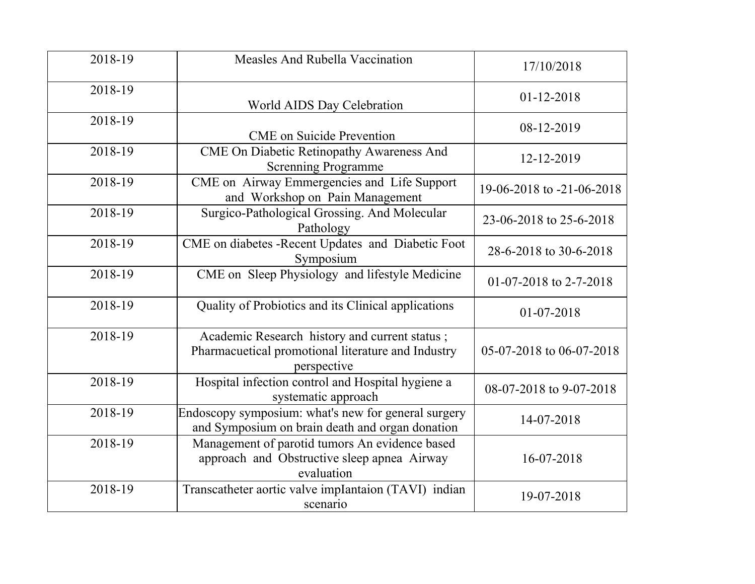| 2018-19 | Measles And Rubella Vaccination                                                                                    | 17/10/2018                |
|---------|--------------------------------------------------------------------------------------------------------------------|---------------------------|
| 2018-19 | World AIDS Day Celebration                                                                                         | 01-12-2018                |
| 2018-19 | <b>CME</b> on Suicide Prevention                                                                                   | 08-12-2019                |
| 2018-19 | CME On Diabetic Retinopathy Awareness And<br><b>Screnning Programme</b>                                            | 12-12-2019                |
| 2018-19 | CME on Airway Emmergencies and Life Support<br>and Workshop on Pain Management                                     | 19-06-2018 to -21-06-2018 |
| 2018-19 | Surgico-Pathological Grossing. And Molecular<br>Pathology                                                          | 23-06-2018 to 25-6-2018   |
| 2018-19 | CME on diabetes -Recent Updates and Diabetic Foot<br>Symposium                                                     | 28-6-2018 to 30-6-2018    |
| 2018-19 | CME on Sleep Physiology and lifestyle Medicine                                                                     | 01-07-2018 to 2-7-2018    |
| 2018-19 | Quality of Probiotics and its Clinical applications                                                                | 01-07-2018                |
| 2018-19 | Academic Research history and current status;<br>Pharmacuetical promotional literature and Industry<br>perspective | 05-07-2018 to 06-07-2018  |
| 2018-19 | Hospital infection control and Hospital hygiene a<br>systematic approach                                           | 08-07-2018 to 9-07-2018   |
| 2018-19 | Endoscopy symposium: what's new for general surgery<br>and Symposium on brain death and organ donation             | 14-07-2018                |
| 2018-19 | Management of parotid tumors An evidence based<br>approach and Obstructive sleep apnea Airway<br>evaluation        | 16-07-2018                |
| 2018-19 | Transcatheter aortic valve implantaion (TAVI) indian<br>scenario                                                   | 19-07-2018                |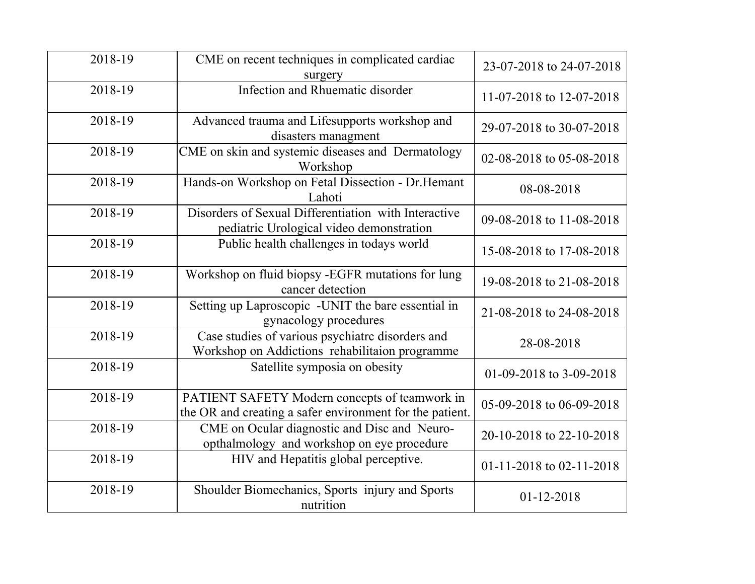| 2018-19 | CME on recent techniques in complicated cardiac<br>surgery                                                | 23-07-2018 to 24-07-2018 |
|---------|-----------------------------------------------------------------------------------------------------------|--------------------------|
| 2018-19 | Infection and Rhuematic disorder                                                                          | 11-07-2018 to 12-07-2018 |
| 2018-19 | Advanced trauma and Lifesupports workshop and<br>disasters managment                                      | 29-07-2018 to 30-07-2018 |
| 2018-19 | CME on skin and systemic diseases and Dermatology<br>Workshop                                             | 02-08-2018 to 05-08-2018 |
| 2018-19 | Hands-on Workshop on Fetal Dissection - Dr. Hemant<br>Lahoti                                              | 08-08-2018               |
| 2018-19 | Disorders of Sexual Differentiation with Interactive<br>pediatric Urological video demonstration          | 09-08-2018 to 11-08-2018 |
| 2018-19 | Public health challenges in todays world                                                                  | 15-08-2018 to 17-08-2018 |
| 2018-19 | Workshop on fluid biopsy -EGFR mutations for lung<br>cancer detection                                     | 19-08-2018 to 21-08-2018 |
| 2018-19 | Setting up Laproscopic -UNIT the bare essential in<br>gynacology procedures                               | 21-08-2018 to 24-08-2018 |
| 2018-19 | Case studies of various psychiatrc disorders and<br>Workshop on Addictions rehabilitaion programme        | 28-08-2018               |
| 2018-19 | Satellite symposia on obesity                                                                             | 01-09-2018 to 3-09-2018  |
| 2018-19 | PATIENT SAFETY Modern concepts of teamwork in<br>the OR and creating a safer environment for the patient. | 05-09-2018 to 06-09-2018 |
| 2018-19 | CME on Ocular diagnostic and Disc and Neuro-<br>opthalmology and workshop on eye procedure                | 20-10-2018 to 22-10-2018 |
| 2018-19 | HIV and Hepatitis global perceptive.                                                                      | 01-11-2018 to 02-11-2018 |
| 2018-19 | Shoulder Biomechanics, Sports injury and Sports<br>nutrition                                              | $01 - 12 - 2018$         |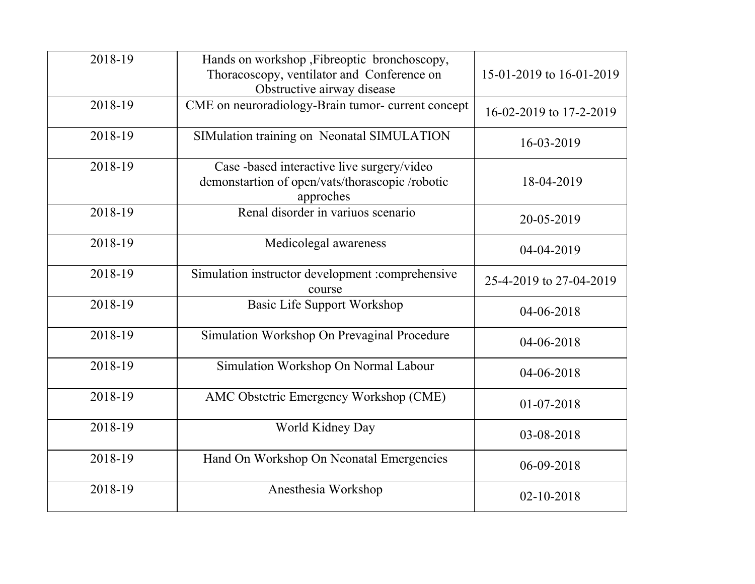| 2018-19 | Hands on workshop , Fibreoptic bronchoscopy,<br>Thoracoscopy, ventilator and Conference on<br>Obstructive airway disease | 15-01-2019 to 16-01-2019 |
|---------|--------------------------------------------------------------------------------------------------------------------------|--------------------------|
| 2018-19 | CME on neuroradiology-Brain tumor- current concept                                                                       | 16-02-2019 to 17-2-2019  |
| 2018-19 | SIMulation training on Neonatal SIMULATION                                                                               | 16-03-2019               |
| 2018-19 | Case -based interactive live surgery/video<br>demonstartion of open/vats/thorascopic /robotic<br>approches               | 18-04-2019               |
| 2018-19 | Renal disorder in variuos scenario                                                                                       | 20-05-2019               |
| 2018-19 | Medicolegal awareness                                                                                                    | 04-04-2019               |
| 2018-19 | Simulation instructor development :comprehensive<br>course                                                               | 25-4-2019 to 27-04-2019  |
| 2018-19 | <b>Basic Life Support Workshop</b>                                                                                       | 04-06-2018               |
| 2018-19 | Simulation Workshop On Prevaginal Procedure                                                                              | 04-06-2018               |
| 2018-19 | Simulation Workshop On Normal Labour                                                                                     | 04-06-2018               |
| 2018-19 | AMC Obstetric Emergency Workshop (CME)                                                                                   | 01-07-2018               |
| 2018-19 | World Kidney Day                                                                                                         | 03-08-2018               |
| 2018-19 | Hand On Workshop On Neonatal Emergencies                                                                                 | 06-09-2018               |
| 2018-19 | Anesthesia Workshop                                                                                                      | $02 - 10 - 2018$         |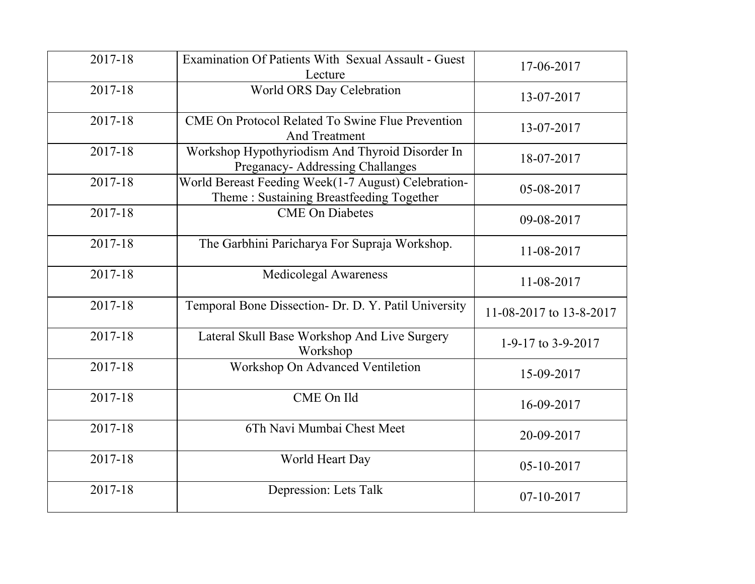| 2017-18 | Examination Of Patients With Sexual Assault - Guest<br>Lecture                                  | 17-06-2017              |
|---------|-------------------------------------------------------------------------------------------------|-------------------------|
| 2017-18 | World ORS Day Celebration                                                                       | 13-07-2017              |
| 2017-18 | <b>CME On Protocol Related To Swine Flue Prevention</b><br><b>And Treatment</b>                 | 13-07-2017              |
| 2017-18 | Workshop Hypothyriodism And Thyroid Disorder In<br>Preganacy- Addressing Challanges             | 18-07-2017              |
| 2017-18 | World Bereast Feeding Week(1-7 August) Celebration-<br>Theme: Sustaining Breastfeeding Together | 05-08-2017              |
| 2017-18 | <b>CME</b> On Diabetes                                                                          | 09-08-2017              |
| 2017-18 | The Garbhini Paricharya For Supraja Workshop.                                                   | 11-08-2017              |
| 2017-18 | <b>Medicolegal Awareness</b>                                                                    | 11-08-2017              |
| 2017-18 | Temporal Bone Dissection- Dr. D. Y. Patil University                                            | 11-08-2017 to 13-8-2017 |
| 2017-18 | Lateral Skull Base Workshop And Live Surgery<br>Workshop                                        | 1-9-17 to 3-9-2017      |
| 2017-18 | Workshop On Advanced Ventiletion                                                                | 15-09-2017              |
| 2017-18 | CME On Ild                                                                                      | 16-09-2017              |
| 2017-18 | 6Th Navi Mumbai Chest Meet                                                                      | 20-09-2017              |
| 2017-18 | World Heart Day                                                                                 | 05-10-2017              |
| 2017-18 | Depression: Lets Talk                                                                           | 07-10-2017              |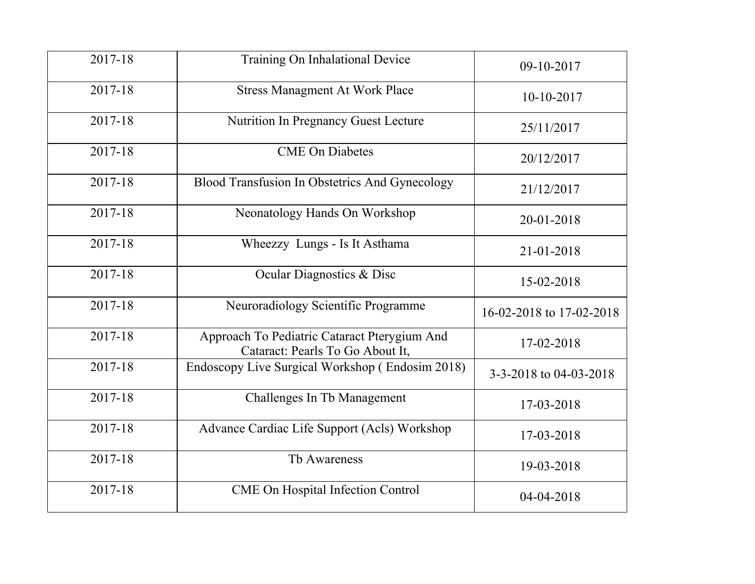| 2017-18 | Training On Inhalational Device                                                  | 09-10-2017               |
|---------|----------------------------------------------------------------------------------|--------------------------|
| 2017-18 | <b>Stress Managment At Work Place</b>                                            | $10-10-2017$             |
| 2017-18 | <b>Nutrition In Pregnancy Guest Lecture</b>                                      | 25/11/2017               |
| 2017-18 | <b>CME</b> On Diabetes                                                           | 20/12/2017               |
| 2017-18 | Blood Transfusion In Obstetrics And Gynecology                                   | 21/12/2017               |
| 2017-18 | Neonatology Hands On Workshop                                                    | 20-01-2018               |
| 2017-18 | Wheezzy Lungs - Is It Asthama                                                    | 21-01-2018               |
| 2017-18 | Ocular Diagnostics & Disc                                                        | 15-02-2018               |
| 2017-18 | Neuroradiology Scientific Programme                                              | 16-02-2018 to 17-02-2018 |
| 2017-18 | Approach To Pediatric Cataract Pterygium And<br>Cataract: Pearls To Go About It, | 17-02-2018               |
| 2017-18 | Endoscopy Live Surgical Workshop (Endosim 2018)                                  | 3-3-2018 to 04-03-2018   |
| 2017-18 | Challenges In Tb Management                                                      | 17-03-2018               |
| 2017-18 | Advance Cardiac Life Support (Acls) Workshop                                     | 17-03-2018               |
| 2017-18 | Tb Awareness                                                                     | 19-03-2018               |
| 2017-18 | <b>CME On Hospital Infection Control</b>                                         | 04-04-2018               |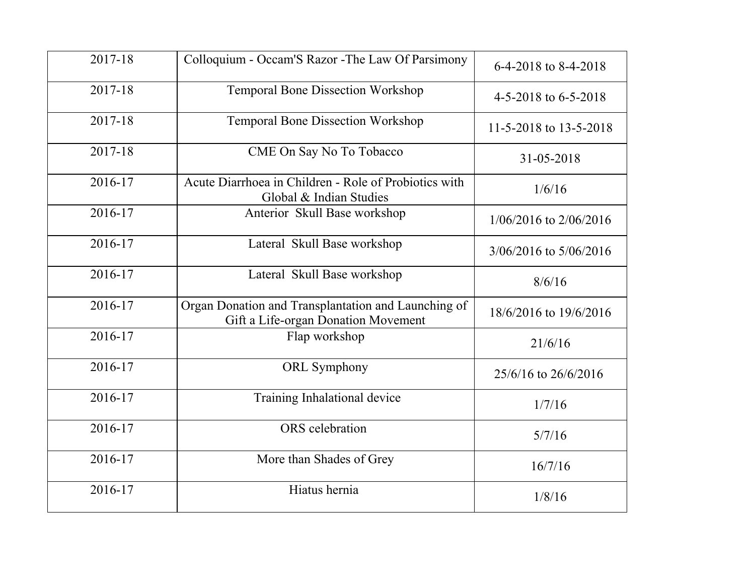| 2017-18 | Colloquium - Occam'S Razor - The Law Of Parsimony                                          | 6-4-2018 to 8-4-2018       |
|---------|--------------------------------------------------------------------------------------------|----------------------------|
| 2017-18 | <b>Temporal Bone Dissection Workshop</b>                                                   | 4-5-2018 to $6-5-2018$     |
| 2017-18 | <b>Temporal Bone Dissection Workshop</b>                                                   | 11-5-2018 to 13-5-2018     |
| 2017-18 | CME On Say No To Tobacco                                                                   | 31-05-2018                 |
| 2016-17 | Acute Diarrhoea in Children - Role of Probiotics with<br>Global & Indian Studies           | 1/6/16                     |
| 2016-17 | Anterior Skull Base workshop                                                               | $1/06/2016$ to $2/06/2016$ |
| 2016-17 | Lateral Skull Base workshop                                                                | 3/06/2016 to 5/06/2016     |
| 2016-17 | Lateral Skull Base workshop                                                                | 8/6/16                     |
| 2016-17 | Organ Donation and Transplantation and Launching of<br>Gift a Life-organ Donation Movement | 18/6/2016 to 19/6/2016     |
| 2016-17 | Flap workshop                                                                              | 21/6/16                    |
| 2016-17 | <b>ORL</b> Symphony                                                                        | 25/6/16 to 26/6/2016       |
| 2016-17 | Training Inhalational device                                                               | 1/7/16                     |
| 2016-17 | ORS celebration                                                                            | 5/7/16                     |
| 2016-17 | More than Shades of Grey                                                                   | 16/7/16                    |
| 2016-17 | Hiatus hernia                                                                              | 1/8/16                     |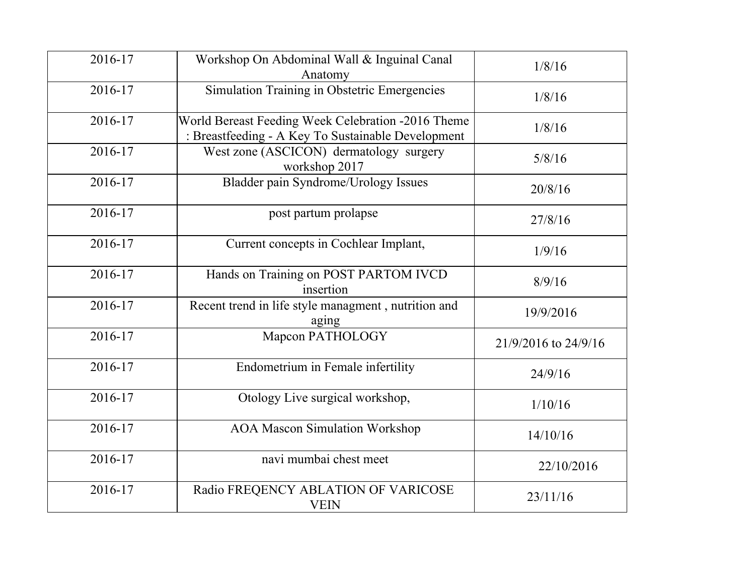| 2016-17 | Workshop On Abdominal Wall & Inguinal Canal<br>Anatomy                                                   | 1/8/16               |
|---------|----------------------------------------------------------------------------------------------------------|----------------------|
| 2016-17 | Simulation Training in Obstetric Emergencies                                                             | 1/8/16               |
| 2016-17 | World Bereast Feeding Week Celebration -2016 Theme<br>: Breastfeeding - A Key To Sustainable Development | 1/8/16               |
| 2016-17 | West zone (ASCICON) dermatology surgery<br>workshop 2017                                                 | 5/8/16               |
| 2016-17 | Bladder pain Syndrome/Urology Issues                                                                     | 20/8/16              |
| 2016-17 | post partum prolapse                                                                                     | 27/8/16              |
| 2016-17 | Current concepts in Cochlear Implant,                                                                    | 1/9/16               |
| 2016-17 | Hands on Training on POST PARTOM IVCD<br>insertion                                                       | 8/9/16               |
| 2016-17 | Recent trend in life style managment, nutrition and<br>aging                                             | 19/9/2016            |
| 2016-17 | Mapcon PATHOLOGY                                                                                         | 21/9/2016 to 24/9/16 |
| 2016-17 | Endometrium in Female infertility                                                                        | 24/9/16              |
| 2016-17 | Otology Live surgical workshop,                                                                          | 1/10/16              |
| 2016-17 | <b>AOA Mascon Simulation Workshop</b>                                                                    | 14/10/16             |
| 2016-17 | navi mumbai chest meet                                                                                   | 22/10/2016           |
| 2016-17 | Radio FREQENCY ABLATION OF VARICOSE<br><b>VEIN</b>                                                       | 23/11/16             |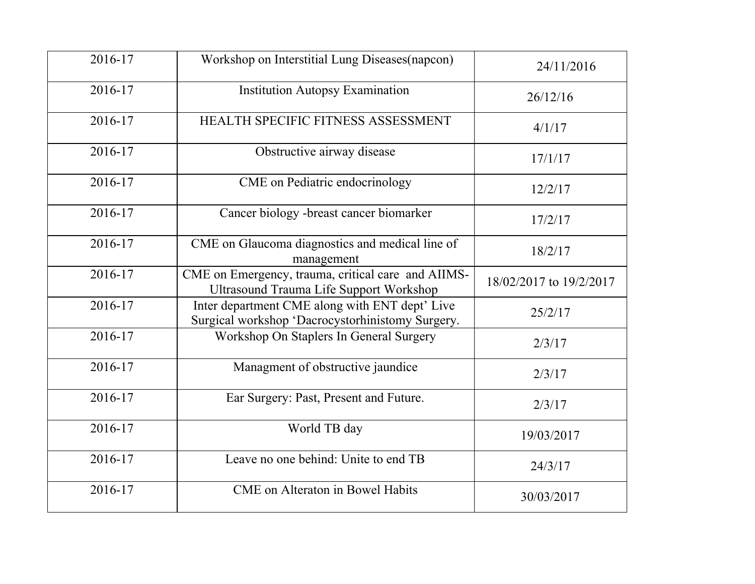| 2016-17 | Workshop on Interstitial Lung Diseases(napcon)                                                       | 24/11/2016              |
|---------|------------------------------------------------------------------------------------------------------|-------------------------|
| 2016-17 | <b>Institution Autopsy Examination</b>                                                               | 26/12/16                |
| 2016-17 | HEALTH SPECIFIC FITNESS ASSESSMENT                                                                   | 4/1/17                  |
| 2016-17 | Obstructive airway disease                                                                           | 17/1/17                 |
| 2016-17 | CME on Pediatric endocrinology                                                                       | 12/2/17                 |
| 2016-17 | Cancer biology -breast cancer biomarker                                                              | 17/2/17                 |
| 2016-17 | CME on Glaucoma diagnostics and medical line of<br>management                                        | 18/2/17                 |
| 2016-17 | CME on Emergency, trauma, critical care and AIIMS-<br><b>Ultrasound Trauma Life Support Workshop</b> | 18/02/2017 to 19/2/2017 |
| 2016-17 | Inter department CME along with ENT dept' Live<br>Surgical workshop 'Dacrocystorhinistomy Surgery.   | 25/2/17                 |
| 2016-17 | Workshop On Staplers In General Surgery                                                              | 2/3/17                  |
| 2016-17 | Managment of obstructive jaundice                                                                    | 2/3/17                  |
| 2016-17 | Ear Surgery: Past, Present and Future.                                                               | 2/3/17                  |
| 2016-17 | World TB day                                                                                         | 19/03/2017              |
| 2016-17 | Leave no one behind: Unite to end TB                                                                 | 24/3/17                 |
| 2016-17 | <b>CME</b> on Alteraton in Bowel Habits                                                              | 30/03/2017              |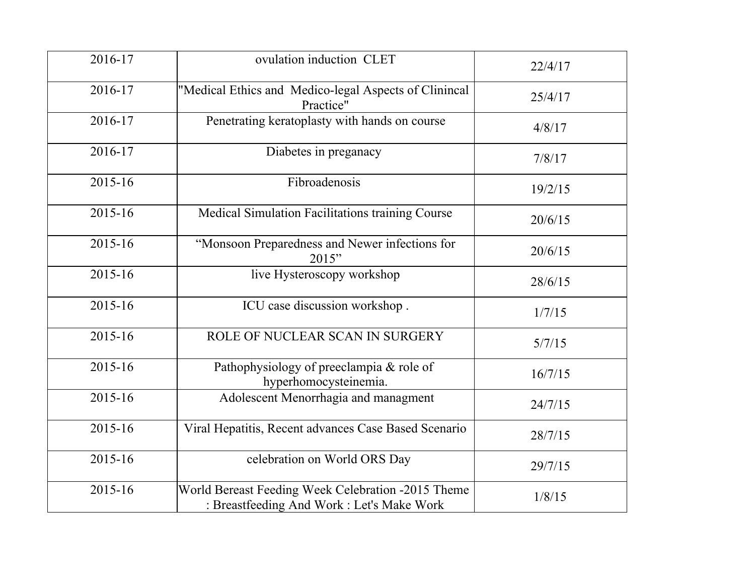| 2016-17 | ovulation induction CLET                                                                         | 22/4/17 |
|---------|--------------------------------------------------------------------------------------------------|---------|
| 2016-17 | "Medical Ethics and Medico-legal Aspects of Clinincal<br>Practice"                               | 25/4/17 |
| 2016-17 | Penetrating keratoplasty with hands on course                                                    | 4/8/17  |
| 2016-17 | Diabetes in preganacy                                                                            | 7/8/17  |
| 2015-16 | Fibroadenosis                                                                                    | 19/2/15 |
| 2015-16 | Medical Simulation Facilitations training Course                                                 | 20/6/15 |
| 2015-16 | "Monsoon Preparedness and Newer infections for<br>2015"                                          | 20/6/15 |
| 2015-16 | live Hysteroscopy workshop                                                                       | 28/6/15 |
| 2015-16 | ICU case discussion workshop.                                                                    | 1/7/15  |
| 2015-16 | ROLE OF NUCLEAR SCAN IN SURGERY                                                                  | 5/7/15  |
| 2015-16 | Pathophysiology of preeclampia & role of<br>hyperhomocysteinemia.                                | 16/7/15 |
| 2015-16 | Adolescent Menorrhagia and managment                                                             | 24/7/15 |
| 2015-16 | Viral Hepatitis, Recent advances Case Based Scenario                                             | 28/7/15 |
| 2015-16 | celebration on World ORS Day                                                                     | 29/7/15 |
| 2015-16 | World Bereast Feeding Week Celebration -2015 Theme<br>: Breastfeeding And Work : Let's Make Work | 1/8/15  |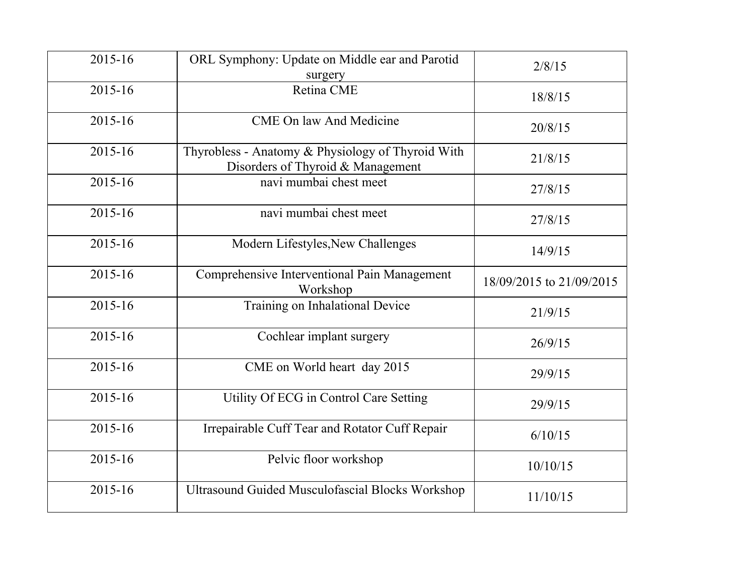| 2015-16 | ORL Symphony: Update on Middle ear and Parotid<br>surgery                              | 2/8/15                   |
|---------|----------------------------------------------------------------------------------------|--------------------------|
| 2015-16 | Retina CME                                                                             | 18/8/15                  |
| 2015-16 | <b>CME On law And Medicine</b>                                                         | 20/8/15                  |
| 2015-16 | Thyrobless - Anatomy & Physiology of Thyroid With<br>Disorders of Thyroid & Management | 21/8/15                  |
| 2015-16 | navi mumbai chest meet                                                                 | 27/8/15                  |
| 2015-16 | navi mumbai chest meet                                                                 | 27/8/15                  |
| 2015-16 | Modern Lifestyles, New Challenges                                                      | 14/9/15                  |
| 2015-16 | Comprehensive Interventional Pain Management<br>Workshop                               | 18/09/2015 to 21/09/2015 |
| 2015-16 | Training on Inhalational Device                                                        | 21/9/15                  |
| 2015-16 | Cochlear implant surgery                                                               | 26/9/15                  |
| 2015-16 | CME on World heart day 2015                                                            | 29/9/15                  |
| 2015-16 | Utility Of ECG in Control Care Setting                                                 | 29/9/15                  |
| 2015-16 | Irrepairable Cuff Tear and Rotator Cuff Repair                                         | 6/10/15                  |
| 2015-16 | Pelvic floor workshop                                                                  | 10/10/15                 |
| 2015-16 | <b>Ultrasound Guided Musculofascial Blocks Workshop</b>                                | 11/10/15                 |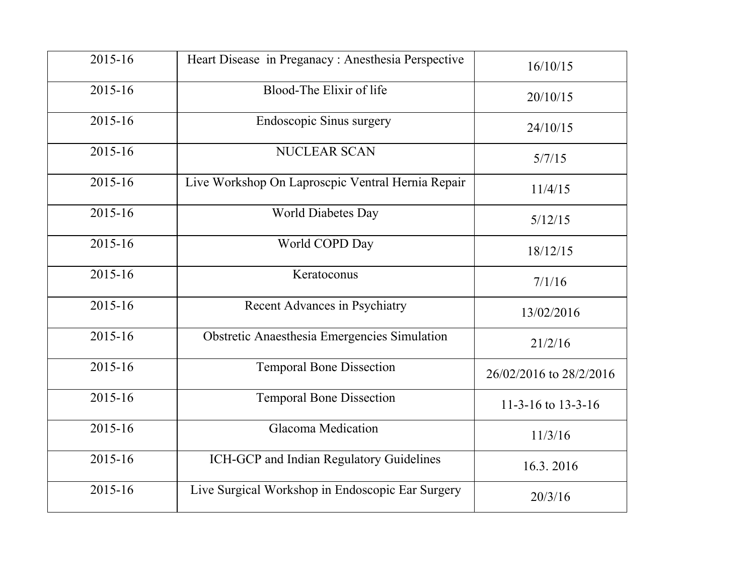| 2015-16 | Heart Disease in Preganacy: Anesthesia Perspective | 16/10/15                |
|---------|----------------------------------------------------|-------------------------|
| 2015-16 | Blood-The Elixir of life                           | 20/10/15                |
| 2015-16 | <b>Endoscopic Sinus surgery</b>                    | 24/10/15                |
| 2015-16 | <b>NUCLEAR SCAN</b>                                | 5/7/15                  |
| 2015-16 | Live Workshop On Laproscpic Ventral Hernia Repair  | 11/4/15                 |
| 2015-16 | <b>World Diabetes Day</b>                          | 5/12/15                 |
| 2015-16 | World COPD Day                                     | 18/12/15                |
| 2015-16 | Keratoconus                                        | 7/1/16                  |
| 2015-16 | <b>Recent Advances in Psychiatry</b>               | 13/02/2016              |
| 2015-16 | Obstretic Anaesthesia Emergencies Simulation       | 21/2/16                 |
| 2015-16 | <b>Temporal Bone Dissection</b>                    | 26/02/2016 to 28/2/2016 |
| 2015-16 | <b>Temporal Bone Dissection</b>                    | 11-3-16 to 13-3-16      |
| 2015-16 | <b>Glacoma Medication</b>                          | 11/3/16                 |
| 2015-16 | ICH-GCP and Indian Regulatory Guidelines           | 16.3.2016               |
| 2015-16 | Live Surgical Workshop in Endoscopic Ear Surgery   | 20/3/16                 |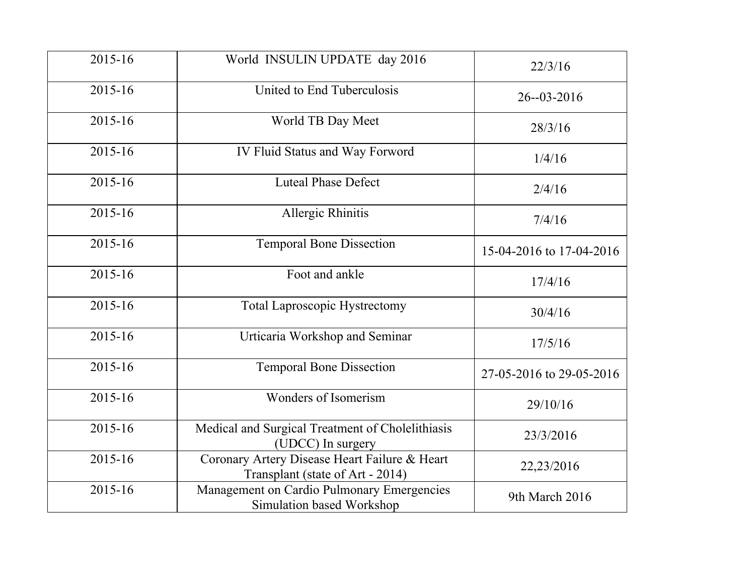| 2015-16 | World INSULIN UPDATE day 2016                                                     | 22/3/16                  |
|---------|-----------------------------------------------------------------------------------|--------------------------|
| 2015-16 | United to End Tuberculosis                                                        | $26 - 03 - 2016$         |
| 2015-16 | World TB Day Meet                                                                 | 28/3/16                  |
| 2015-16 | IV Fluid Status and Way Forword                                                   | 1/4/16                   |
| 2015-16 | <b>Luteal Phase Defect</b>                                                        | 2/4/16                   |
| 2015-16 | Allergic Rhinitis                                                                 | 7/4/16                   |
| 2015-16 | <b>Temporal Bone Dissection</b>                                                   | 15-04-2016 to 17-04-2016 |
| 2015-16 | Foot and ankle                                                                    | 17/4/16                  |
| 2015-16 | <b>Total Laproscopic Hystrectomy</b>                                              | 30/4/16                  |
| 2015-16 | Urticaria Workshop and Seminar                                                    | 17/5/16                  |
| 2015-16 | <b>Temporal Bone Dissection</b>                                                   | 27-05-2016 to 29-05-2016 |
| 2015-16 | Wonders of Isomerism                                                              | 29/10/16                 |
| 2015-16 | Medical and Surgical Treatment of Cholelithiasis<br>(UDCC) In surgery             | 23/3/2016                |
| 2015-16 | Coronary Artery Disease Heart Failure & Heart<br>Transplant (state of Art - 2014) | 22,23/2016               |
| 2015-16 | Management on Cardio Pulmonary Emergencies<br>Simulation based Workshop           | 9th March 2016           |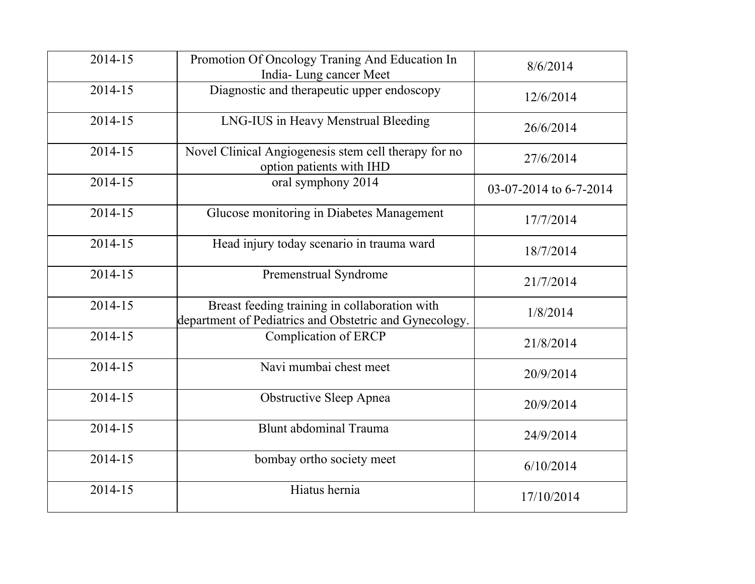| 2014-15 | Promotion Of Oncology Traning And Education In<br>India-Lung cancer Meet                                | 8/6/2014               |
|---------|---------------------------------------------------------------------------------------------------------|------------------------|
| 2014-15 | Diagnostic and therapeutic upper endoscopy                                                              | 12/6/2014              |
| 2014-15 | LNG-IUS in Heavy Menstrual Bleeding                                                                     | 26/6/2014              |
| 2014-15 | Novel Clinical Angiogenesis stem cell therapy for no<br>option patients with IHD                        | 27/6/2014              |
| 2014-15 | oral symphony 2014                                                                                      | 03-07-2014 to 6-7-2014 |
| 2014-15 | Glucose monitoring in Diabetes Management                                                               | 17/7/2014              |
| 2014-15 | Head injury today scenario in trauma ward                                                               | 18/7/2014              |
| 2014-15 | Premenstrual Syndrome                                                                                   | 21/7/2014              |
| 2014-15 | Breast feeding training in collaboration with<br>department of Pediatrics and Obstetric and Gynecology. | 1/8/2014               |
| 2014-15 | Complication of ERCP                                                                                    | 21/8/2014              |
| 2014-15 | Navi mumbai chest meet                                                                                  | 20/9/2014              |
| 2014-15 | Obstructive Sleep Apnea                                                                                 | 20/9/2014              |
| 2014-15 | Blunt abdominal Trauma                                                                                  | 24/9/2014              |
| 2014-15 | bombay ortho society meet                                                                               | 6/10/2014              |
| 2014-15 | Hiatus hernia                                                                                           | 17/10/2014             |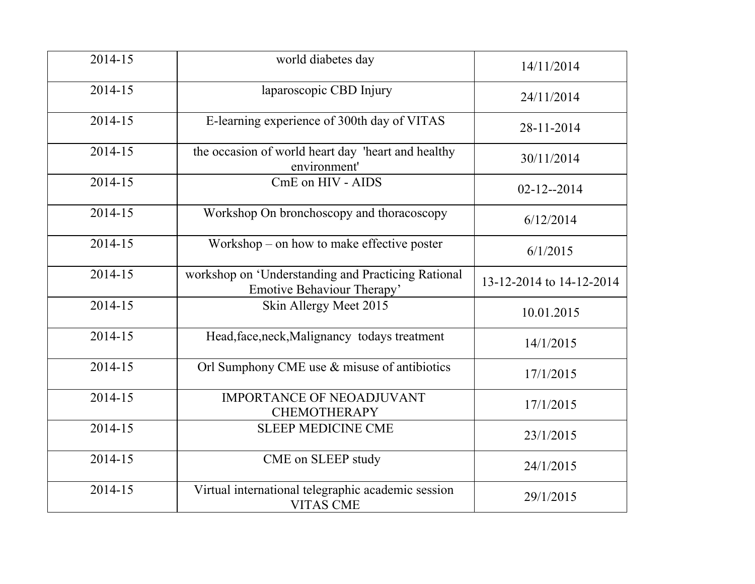| 2014-15 | world diabetes day                                                               | 14/11/2014               |
|---------|----------------------------------------------------------------------------------|--------------------------|
| 2014-15 | laparoscopic CBD Injury                                                          | 24/11/2014               |
| 2014-15 | E-learning experience of 300th day of VITAS                                      | 28-11-2014               |
| 2014-15 | the occasion of world heart day 'heart and healthy<br>environment'               | 30/11/2014               |
| 2014-15 | CmE on HIV - AIDS                                                                | $02 - 12 - 2014$         |
| 2014-15 | Workshop On bronchoscopy and thoracoscopy                                        | 6/12/2014                |
| 2014-15 | Workshop – on how to make effective poster                                       | 6/1/2015                 |
| 2014-15 | workshop on 'Understanding and Practicing Rational<br>Emotive Behaviour Therapy' | 13-12-2014 to 14-12-2014 |
| 2014-15 | Skin Allergy Meet 2015                                                           | 10.01.2015               |
| 2014-15 | Head, face, neck, Malignancy todays treatment                                    | 14/1/2015                |
| 2014-15 | Orl Sumphony CME use & misuse of antibiotics                                     | 17/1/2015                |
| 2014-15 | <b>IMPORTANCE OF NEOADJUVANT</b><br><b>CHEMOTHERAPY</b>                          | 17/1/2015                |
| 2014-15 | <b>SLEEP MEDICINE CME</b>                                                        | 23/1/2015                |
| 2014-15 | CME on SLEEP study                                                               | 24/1/2015                |
| 2014-15 | Virtual international telegraphic academic session<br><b>VITAS CME</b>           | 29/1/2015                |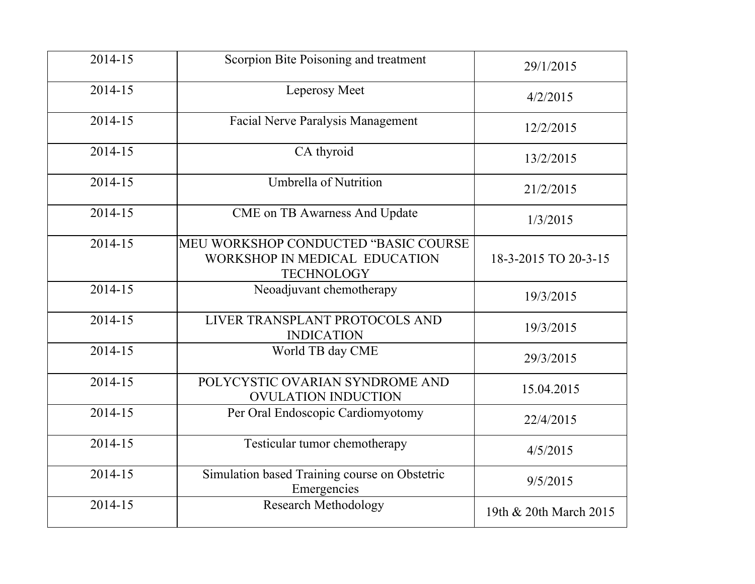| 2014-15 | Scorpion Bite Poisoning and treatment                                                      | 29/1/2015              |
|---------|--------------------------------------------------------------------------------------------|------------------------|
| 2014-15 | Leperosy Meet                                                                              | 4/2/2015               |
| 2014-15 | <b>Facial Nerve Paralysis Management</b>                                                   | 12/2/2015              |
| 2014-15 | CA thyroid                                                                                 | 13/2/2015              |
| 2014-15 | <b>Umbrella of Nutrition</b>                                                               | 21/2/2015              |
| 2014-15 | <b>CME</b> on TB Awarness And Update                                                       | 1/3/2015               |
| 2014-15 | MEU WORKSHOP CONDUCTED "BASIC COURSE<br>WORKSHOP IN MEDICAL EDUCATION<br><b>TECHNOLOGY</b> | 18-3-2015 TO 20-3-15   |
| 2014-15 | Neoadjuvant chemotherapy                                                                   | 19/3/2015              |
| 2014-15 | LIVER TRANSPLANT PROTOCOLS AND<br><b>INDICATION</b>                                        | 19/3/2015              |
| 2014-15 | World TB day CME                                                                           | 29/3/2015              |
| 2014-15 | POLYCYSTIC OVARIAN SYNDROME AND<br><b>OVULATION INDUCTION</b>                              | 15.04.2015             |
| 2014-15 | Per Oral Endoscopic Cardiomyotomy                                                          | 22/4/2015              |
| 2014-15 | Testicular tumor chemotherapy                                                              | 4/5/2015               |
| 2014-15 | Simulation based Training course on Obstetric<br>Emergencies                               | 9/5/2015               |
| 2014-15 | <b>Research Methodology</b>                                                                | 19th & 20th March 2015 |